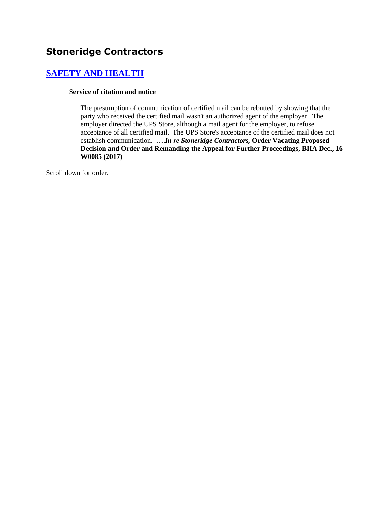# **[SAFETY AND HEALTH](http://www.biia.wa.gov/SDSubjectIndex.html#SAFETY_AND_HEALTH)**

#### **Service of citation and notice**

The presumption of communication of certified mail can be rebutted by showing that the party who received the certified mail wasn't an authorized agent of the employer. The employer directed the UPS Store, although a mail agent for the employer, to refuse acceptance of all certified mail. The UPS Store's acceptance of the certified mail does not establish communication. **….***In re Stoneridge Contractors,* **Order Vacating Proposed Decision and Order and Remanding the Appeal for Further Proceedings, BIIA Dec., 16 W0085 (2017)**

Scroll down for order.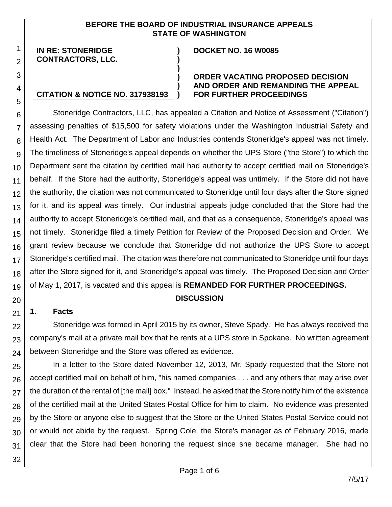#### **BEFORE THE BOARD OF INDUSTRIAL INSURANCE APPEALS STATE OF WASHINGTON**

**) )**

**)**

**) ) )**

#### **IN RE: STONERIDGE CONTRACTORS, LLC.**

**CITATION & NOTICE NO. 317938193**

1 2

3

4

5

#### **DOCKET NO. 16 W0085**

#### **ORDER VACATING PROPOSED DECISION AND ORDER AND REMANDING THE APPEAL FOR FURTHER PROCEEDINGS**

6 7 8 9 10 11 12 13 14 15 16 17 18 19 Stoneridge Contractors, LLC, has appealed a Citation and Notice of Assessment ("Citation") assessing penalties of \$15,500 for safety violations under the Washington Industrial Safety and Health Act. The Department of Labor and Industries contends Stoneridge's appeal was not timely. The timeliness of Stoneridge's appeal depends on whether the UPS Store ("the Store") to which the Department sent the citation by certified mail had authority to accept certified mail on Stoneridge's behalf. If the Store had the authority, Stoneridge's appeal was untimely. If the Store did not have the authority, the citation was not communicated to Stoneridge until four days after the Store signed for it, and its appeal was timely. Our industrial appeals judge concluded that the Store had the authority to accept Stoneridge's certified mail, and that as a consequence, Stoneridge's appeal was not timely. Stoneridge filed a timely Petition for Review of the Proposed Decision and Order. We grant review because we conclude that Stoneridge did not authorize the UPS Store to accept Stoneridge's certified mail. The citation was therefore not communicated to Stoneridge until four days after the Store signed for it, and Stoneridge's appeal was timely. The Proposed Decision and Order of May 1, 2017, is vacated and this appeal is **REMANDED FOR FURTHER PROCEEDINGS.** 

## **DISCUSSION**

### **1. Facts**

20

21

22 23 24 Stoneridge was formed in April 2015 by its owner, Steve Spady. He has always received the company's mail at a private mail box that he rents at a UPS store in Spokane. No written agreement between Stoneridge and the Store was offered as evidence.

25 26 27 28 29 30 31 In a letter to the Store dated November 12, 2013, Mr. Spady requested that the Store not accept certified mail on behalf of him, "his named companies . . . and any others that may arise over the duration of the rental of [the mail] box." Instead, he asked that the Store notify him of the existence of the certified mail at the United States Postal Office for him to claim. No evidence was presented by the Store or anyone else to suggest that the Store or the United States Postal Service could not or would not abide by the request. Spring Cole, the Store's manager as of February 2016, made clear that the Store had been honoring the request since she became manager. She had no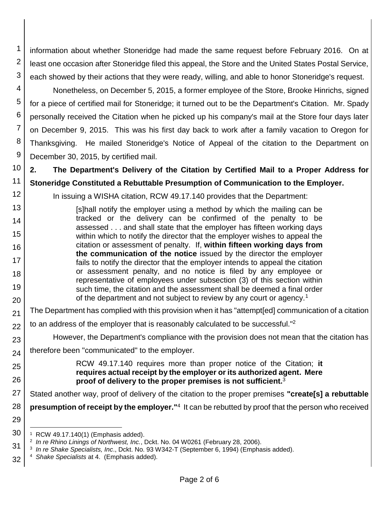2 3 information about whether Stoneridge had made the same request before February 2016. On at least one occasion after Stoneridge filed this appeal, the Store and the United States Postal Service, each showed by their actions that they were ready, willing, and able to honor Stoneridge's request.

4 5 6 7 8 9 Nonetheless, on December 5, 2015, a former employee of the Store, Brooke Hinrichs, signed for a piece of certified mail for Stoneridge; it turned out to be the Department's Citation. Mr. Spady personally received the Citation when he picked up his company's mail at the Store four days later on December 9, 2015. This was his first day back to work after a family vacation to Oregon for Thanksgiving. He mailed Stoneridge's Notice of Appeal of the citation to the Department on December 30, 2015, by certified mail.

10 11 **2. The Department's Delivery of the Citation by Certified Mail to a Proper Address for Stoneridge Constituted a Rebuttable Presumption of Communication to the Employer.**

In issuing a WISHA citation, RCW 49.17.140 provides that the Department:

[s]hall notify the employer using a method by which the mailing can be tracked or the delivery can be confirmed of the penalty to be assessed . . . and shall state that the employer has fifteen working days within which to notify the director that the employer wishes to appeal the citation or assessment of penalty. If, **within fifteen working days from the communication of the notice** issued by the director the employer fails to notify the director that the employer intends to appeal the citation or assessment penalty, and no notice is filed by any employee or representative of employees under subsection (3) of this section within such time, the citation and the assessment shall be deemed a final order of the department and not subject to review by any court or agency.<sup>1</sup>

21 The Department has complied with this provision when it has "attempt[ed] communication of a citation

22 to an address of the employer that is reasonably calculated to be successful." 2

However, the Department's compliance with the provision does not mean that the citation has

24 therefore been "communicated" to the employer.

> RCW 49.17.140 requires more than proper notice of the Citation; **it requires actual receipt by the employer or its authorized agent. Mere proof of delivery to the proper premises is not sufficient.**<sup>3</sup>

27 Stated another way, proof of delivery of the citation to the proper premises **"create[s] a rebuttable** 

28 **presumption of receipt by the employer.**"<sup>4</sup> It can be rebutted by proof that the person who received

30 l 1 RCW 49.17.140(1) (Emphasis added).

1

12

13

14

15

16 17

18 19

20

23

25

26

29

32 4 *Shake Specialists* at 4. (Emphasis added).

<sup>2</sup> *In re Rhino Linings of Northwest, Inc.*, Dckt. No. 04 W0261 (February 28, 2006).

<sup>31</sup> 3 *In re Shake Specialists, Inc*., Dckt. No. 93 W342-T (September 6, 1994) (Emphasis added).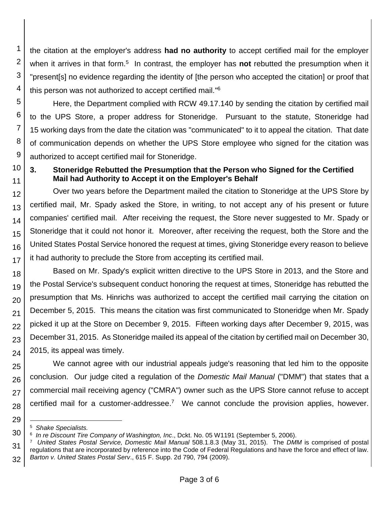1 2 3 4 the citation at the employer's address **had no authority** to accept certified mail for the employer when it arrives in that form.<sup>5</sup> In contrast, the employer has **not** rebutted the presumption when it "present[s] no evidence regarding the identity of [the person who accepted the citation] or proof that this person was not authorized to accept certified mail."<sup>6</sup>

5 6 7 8 9 Here, the Department complied with RCW 49.17.140 by sending the citation by certified mail to the UPS Store, a proper address for Stoneridge. Pursuant to the statute, Stoneridge had 15 working days from the date the citation was "communicated" to it to appeal the citation. That date of communication depends on whether the UPS Store employee who signed for the citation was authorized to accept certified mail for Stoneridge.

#### 10 11 **3. Stoneridge Rebutted the Presumption that the Person who Signed for the Certified Mail had Authority to Accept it on the Employer's Behalf**

12 13 14 15 16 17 Over two years before the Department mailed the citation to Stoneridge at the UPS Store by certified mail, Mr. Spady asked the Store, in writing, to not accept any of his present or future companies' certified mail. After receiving the request, the Store never suggested to Mr. Spady or Stoneridge that it could not honor it. Moreover, after receiving the request, both the Store and the United States Postal Service honored the request at times, giving Stoneridge every reason to believe it had authority to preclude the Store from accepting its certified mail.

18 19 20 21 22 23 24 Based on Mr. Spady's explicit written directive to the UPS Store in 2013, and the Store and the Postal Service's subsequent conduct honoring the request at times, Stoneridge has rebutted the presumption that Ms. Hinrichs was authorized to accept the certified mail carrying the citation on December 5, 2015. This means the citation was first communicated to Stoneridge when Mr. Spady picked it up at the Store on December 9, 2015. Fifteen working days after December 9, 2015, was December 31, 2015. As Stoneridge mailed its appeal of the citation by certified mail on December 30, 2015, its appeal was timely.

25 26 27 28 We cannot agree with our industrial appeals judge's reasoning that led him to the opposite conclusion. Our judge cited a regulation of the *Domestic Mail Manual* ("DMM") that states that a commercial mail receiving agency ("CMRA") owner such as the UPS Store cannot refuse to accept certified mail for a customer-addressee.<sup>7</sup> We cannot conclude the provision applies, however.

29

l 5 *Shake Specialists.*

<sup>30</sup> 6 *In re Discount Tire Company of Washington, Inc*., Dckt. No. 05 W1191 (September 5, 2006).

<sup>31</sup> 32 7 *United States Postal Service, Domestic Mail Manual* 508.1.8.3 (May 31, 2015). The *DMM* is comprised of postal regulations that are incorporated by reference into the Code of Federal Regulations and have the force and effect of law. *Barton v. United States Postal Serv*., 615 F. Supp. 2d 790, 794 (2009).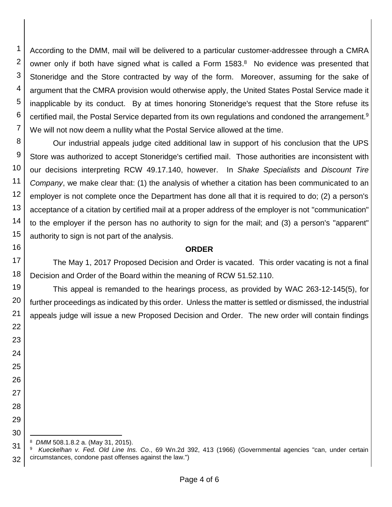1 2 3 4 5 6 7 According to the DMM, mail will be delivered to a particular customer-addressee through a CMRA owner only if both have signed what is called a Form 1583.<sup>8</sup> No evidence was presented that Stoneridge and the Store contracted by way of the form. Moreover, assuming for the sake of argument that the CMRA provision would otherwise apply, the United States Postal Service made it inapplicable by its conduct. By at times honoring Stoneridge's request that the Store refuse its certified mail, the Postal Service departed from its own regulations and condoned the arrangement.<sup>9</sup> We will not now deem a nullity what the Postal Service allowed at the time.

8 9 10 11 12 13 14 15 Our industrial appeals judge cited additional law in support of his conclusion that the UPS Store was authorized to accept Stoneridge's certified mail. Those authorities are inconsistent with our decisions interpreting RCW 49.17.140, however. In *Shake Specialists* and *Discount Tire Company*, we make clear that: (1) the analysis of whether a citation has been communicated to an employer is not complete once the Department has done all that it is required to do; (2) a person's acceptance of a citation by certified mail at a proper address of the employer is not "communication" to the employer if the person has no authority to sign for the mail; and (3) a person's "apparent" authority to sign is not part of the analysis.

#### **ORDER**

The May 1, 2017 Proposed Decision and Order is vacated. This order vacating is not a final Decision and Order of the Board within the meaning of RCW 51.52.110.

This appeal is remanded to the hearings process, as provided by WAC 263-12-145(5), for further proceedings as indicated by this order. Unless the matter is settled or dismissed, the industrial appeals judge will issue a new Proposed Decision and Order. The new order will contain findings

8 *DMM* 508.1.8.2 a. (May 31, 2015).

16

17

18 19

20

21

22

23

24

25

26

27

28 29

30

l

31 32 9 *Kueckelhan v. Fed. Old Line Ins. Co*., 69 Wn.2d 392, 413 (1966) (Governmental agencies "can, under certain circumstances, condone past offenses against the law.")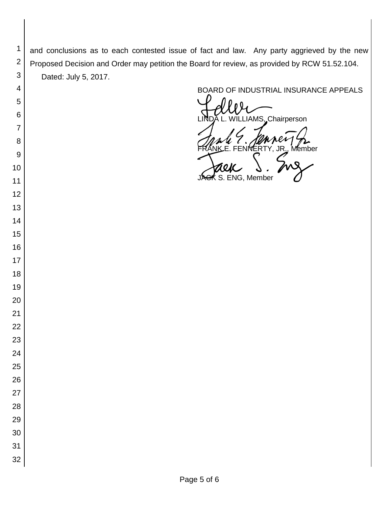and conclusions as to each contested issue of fact and law. Any party aggrieved by the new Proposed Decision and Order may petition the Board for review, as provided by RCW 51.52.104. Dated: July 5, 2017.

 

 

 

 

 

BOARD OF INDUSTRIAL INSURANCE APPEALS<br>
UNDA L. WILLIAMS, Chairperson FRANK E. FENNERTY, JR., Member<br>FRANK E. FENNERTY, JR., Member<br>JAGK S. ENG, Member ENG, Member